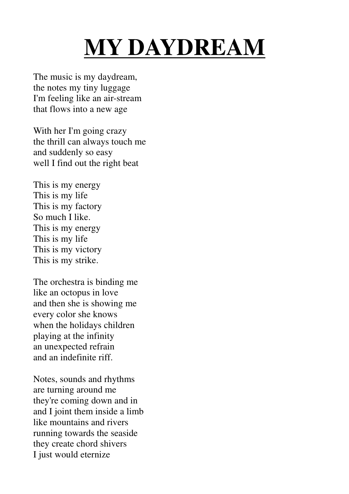## **MY DAYDREAM**

The music is my daydream, the notes my tiny luggage I'm feeling like an air-stream that flows into a new age

With her I'm going crazy the thrill can always touch me and suddenly so easy well I find out the right beat

This is my energy This is my life This is my factory So much I like. This is my energy This is my life This is my victory This is my strike.

The orchestra is binding me like an octopus in love and then she is showing me every color she knows when the holidays children playing at the infinity an unexpected refrain and an indefinite riff.

Notes, sounds and rhythms are turning around me they're coming down and in and I joint them inside a limb like mountains and rivers running towards the seaside they create chord shivers I just would eternize